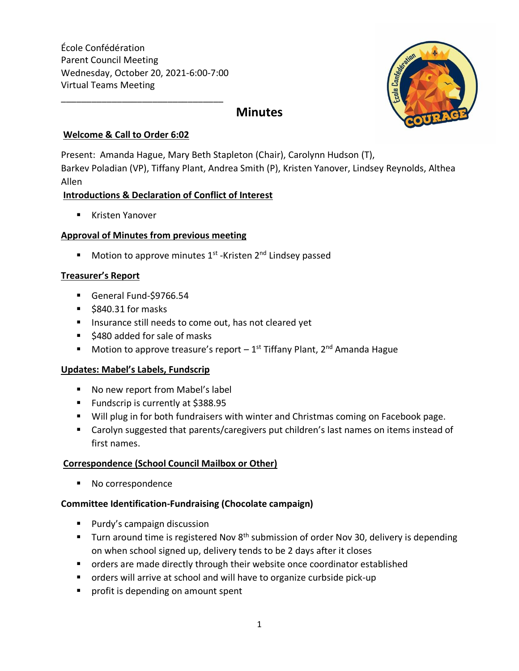École Confédération Parent Council Meeting Wednesday, October 20, 2021-6:00-7:00 Virtual Teams Meeting

\_\_\_\_\_\_\_\_\_\_\_\_\_\_\_\_\_\_\_\_\_\_\_\_\_\_\_\_\_\_\_\_



# **Minutes**

#### **Welcome & Call to Order 6:02**

Present: Amanda Hague, Mary Beth Stapleton (Chair), Carolynn Hudson (T), Barkev Poladian (VP), Tiffany Plant, Andrea Smith (P), Kristen Yanover, Lindsey Reynolds, Althea Allen

## **Introductions & Declaration of Conflict of Interest**

■ Kristen Yanover

## **Approval of Minutes from previous meeting**

■ Motion to approve minutes 1<sup>st</sup> -Kristen 2<sup>nd</sup> Lindsey passed

#### **Treasurer's Report**

- General Fund-\$9766.54
- \$840.31 for masks
- Insurance still needs to come out, has not cleared yet
- \$480 added for sale of masks
- $\blacksquare$  Motion to approve treasure's report  $-1^\text{st}$  Tiffany Plant, 2<sup>nd</sup> Amanda Hague

## **Updates: Mabel's Labels, Fundscrip**

- No new report from Mabel's label
- Fundscrip is currently at \$388.95
- Will plug in for both fundraisers with winter and Christmas coming on Facebook page.
- Carolyn suggested that parents/caregivers put children's last names on items instead of first names.

## **Correspondence (School Council Mailbox or Other)**

■ No correspondence

## **Committee Identification-Fundraising (Chocolate campaign)**

- Purdy's campaign discussion
- **■** Turn around time is registered Nov  $8<sup>th</sup>$  submission of order Nov 30, delivery is depending on when school signed up, delivery tends to be 2 days after it closes
- orders are made directly through their website once coordinator established
- orders will arrive at school and will have to organize curbside pick-up
- profit is depending on amount spent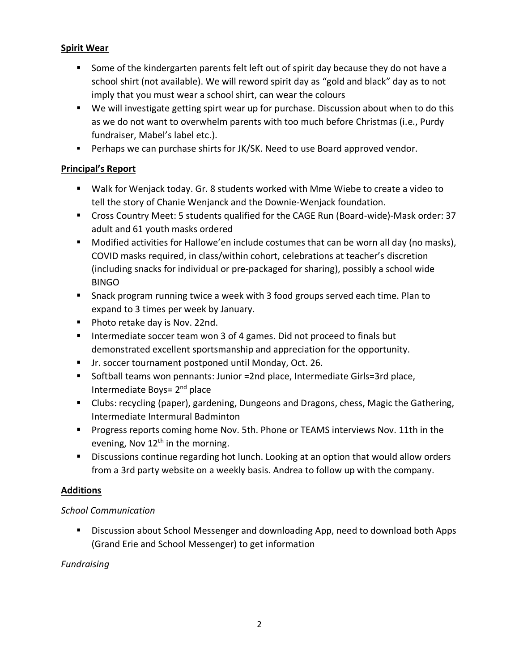## **Spirit Wear**

- Some of the kindergarten parents felt left out of spirit day because they do not have a school shirt (not available). We will reword spirit day as "gold and black" day as to not imply that you must wear a school shirt, can wear the colours
- We will investigate getting spirt wear up for purchase. Discussion about when to do this as we do not want to overwhelm parents with too much before Christmas (i.e., Purdy fundraiser, Mabel's label etc.).
- **•** Perhaps we can purchase shirts for JK/SK. Need to use Board approved vendor.

# **Principal's Report**

- Walk for Wenjack today. Gr. 8 students worked with Mme Wiebe to create a video to tell the story of Chanie Wenjanck and the Downie-Wenjack foundation.
- Cross Country Meet: 5 students qualified for the CAGE Run (Board-wide)-Mask order: 37 adult and 61 youth masks ordered
- Modified activities for Hallowe'en include costumes that can be worn all day (no masks), COVID masks required, in class/within cohort, celebrations at teacher's discretion (including snacks for individual or pre-packaged for sharing), possibly a school wide BINGO
- Snack program running twice a week with 3 food groups served each time. Plan to expand to 3 times per week by January.
- Photo retake day is Nov. 22nd.
- Intermediate soccer team won 3 of 4 games. Did not proceed to finals but demonstrated excellent sportsmanship and appreciation for the opportunity.
- Jr. soccer tournament postponed until Monday, Oct. 26.
- Softball teams won pennants: Junior =2nd place, Intermediate Girls=3rd place, Intermediate Boys= 2<sup>nd</sup> place
- Clubs: recycling (paper), gardening, Dungeons and Dragons, chess, Magic the Gathering, Intermediate Intermural Badminton
- Progress reports coming home Nov. 5th. Phone or TEAMS interviews Nov. 11th in the evening, Nov  $12<sup>th</sup>$  in the morning.
- Discussions continue regarding hot lunch. Looking at an option that would allow orders from a 3rd party website on a weekly basis. Andrea to follow up with the company.

# **Additions**

# *School Communication*

Discussion about School Messenger and downloading App, need to download both Apps (Grand Erie and School Messenger) to get information

# *Fundraising*